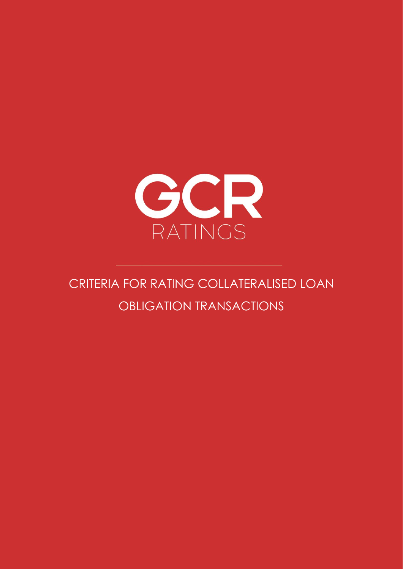

# CRITERIA FOR RATING COLLATERALISED LOAN OBLIGATION TRANSACTIONS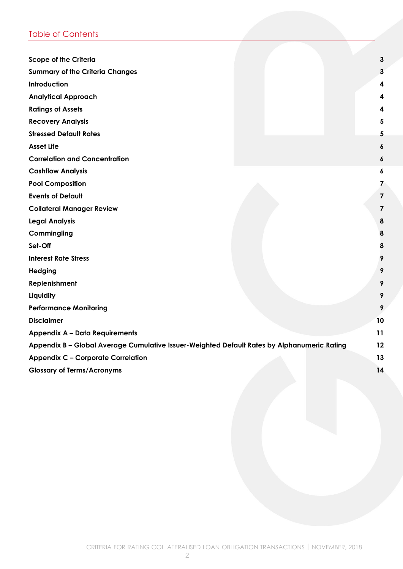# Table of Contents

| <b>Scope of the Criteria</b>                                                                | 3  |
|---------------------------------------------------------------------------------------------|----|
| <b>Summary of the Criteria Changes</b>                                                      | 3  |
| Introduction                                                                                | 4  |
| <b>Analytical Approach</b>                                                                  | 4  |
| <b>Ratings of Assets</b>                                                                    | 4  |
| <b>Recovery Analysis</b>                                                                    | 5  |
| <b>Stressed Default Rates</b>                                                               | 5  |
| <b>Asset Life</b>                                                                           | 6  |
| <b>Correlation and Concentration</b>                                                        | 6  |
| <b>Cashflow Analysis</b>                                                                    | 6  |
| <b>Pool Composition</b>                                                                     | 7  |
| <b>Events of Default</b>                                                                    | 7  |
| <b>Collateral Manager Review</b>                                                            | 7  |
| <b>Legal Analysis</b>                                                                       | 8  |
| Commingling                                                                                 | 8  |
| Set-Off                                                                                     | 8  |
| <b>Interest Rate Stress</b>                                                                 | 9  |
| Hedging                                                                                     | 9  |
| Replenishment                                                                               | 9  |
| Liquidity                                                                                   | 9  |
| <b>Performance Monitoring</b>                                                               | 9  |
| <b>Disclaimer</b>                                                                           | 10 |
| <b>Appendix A - Data Requirements</b>                                                       | 11 |
| Appendix B - Global Average Cumulative Issuer-Weighted Default Rates by Alphanumeric Rating | 12 |
| <b>Appendix C - Corporate Correlation</b>                                                   | 13 |
| <b>Glossary of Terms/Acronyms</b>                                                           | 14 |
|                                                                                             |    |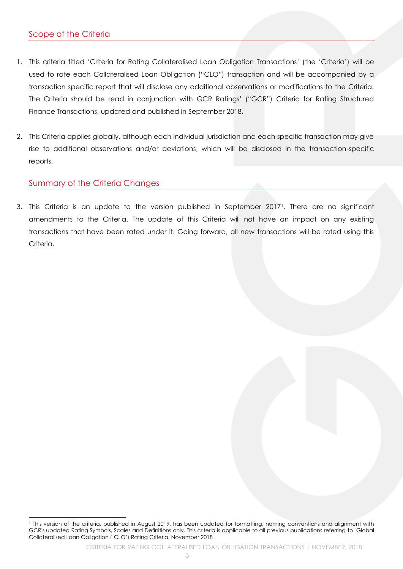- <span id="page-2-0"></span>1. This criteria titled 'Criteria for Rating Collateralised Loan Obligation Transactions' (the 'Criteria') will be used to rate each Collateralised Loan Obligation ("CLO") transaction and will be accompanied by a transaction specific report that will disclose any additional observations or modifications to the Criteria. The Criteria should be read in conjunction with GCR Ratings' ("GCR") Criteria for Rating Structured Finance Transactions, updated and published in September 2018.
- 2. This Criteria applies globally, although each individual jurisdiction and each specific transaction may give rise to additional observations and/or deviations, which will be disclosed in the transaction-specific reports.

# <span id="page-2-1"></span>Summary of the Criteria Changes

3. This Criteria is an update to the version published in September 20171. There are no significant amendments to the Criteria. The update of this Criteria will not have an impact on any existing transactions that have been rated under it. Going forward, all new transactions will be rated using this Criteria.

<sup>1</sup> This version of the criteria, published in August 2019, has been updated for formatting, naming conventions and alignment with GCR's updated Rating Symbols, Scales and Definitions only. This criteria is applicable to all previous publications referring to "Global Collateralised Loan Obligation ('CLO') Rating Criteria, November 2018".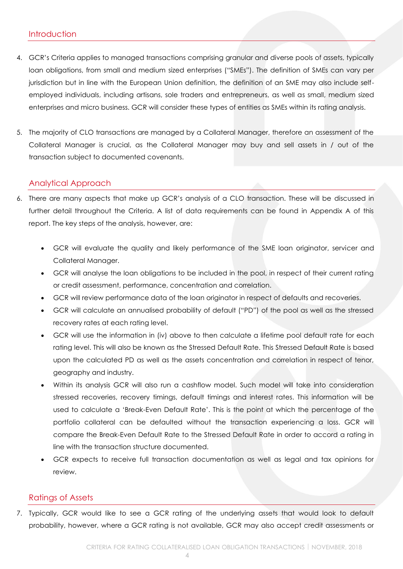- <span id="page-3-0"></span>4. GCR's Criteria applies to managed transactions comprising granular and diverse pools of assets, typically loan obligations, from small and medium sized enterprises ("SMEs"). The definition of SMEs can vary per jurisdiction but in line with the European Union definition, the definition of an SME may also include selfemployed individuals, including artisans, sole traders and entrepreneurs, as well as small, medium sized enterprises and micro business. GCR will consider these types of entities as SMEs within its rating analysis.
- 5. The majority of CLO transactions are managed by a Collateral Manager, therefore an assessment of the Collateral Manager is crucial, as the Collateral Manager may buy and sell assets in / out of the transaction subject to documented covenants.

# <span id="page-3-1"></span>Analytical Approach

- 6. There are many aspects that make up GCR's analysis of a CLO transaction. These will be discussed in further detail throughout the Criteria. A list of data requirements can be found in Appendix A of this report. The key steps of the analysis, however, are:
	- GCR will evaluate the quality and likely performance of the SME loan originator, servicer and Collateral Manager.
	- GCR will analyse the loan obligations to be included in the pool, in respect of their current rating or credit assessment, performance, concentration and correlation.
	- GCR will review performance data of the loan originator in respect of defaults and recoveries.
	- GCR will calculate an annualised probability of default ("PD") of the pool as well as the stressed recovery rates at each rating level.
	- GCR will use the information in (iv) above to then calculate a lifetime pool default rate for each rating level. This will also be known as the Stressed Default Rate. This Stressed Default Rate is based upon the calculated PD as well as the assets concentration and correlation in respect of tenor, geography and industry.
	- Within its analysis GCR will also run a cashflow model. Such model will take into consideration stressed recoveries, recovery timings, default timings and interest rates. This information will be used to calculate a 'Break-Even Default Rate'. This is the point at which the percentage of the portfolio collateral can be defaulted without the transaction experiencing a loss. GCR will compare the Break-Even Default Rate to the Stressed Default Rate in order to accord a rating in line with the transaction structure documented.
	- GCR expects to receive full transaction documentation as well as legal and tax opinions for review.

## <span id="page-3-2"></span>Ratings of Assets

7. Typically, GCR would like to see a GCR rating of the underlying assets that would look to default probability, however, where a GCR rating is not available, GCR may also accept credit assessments or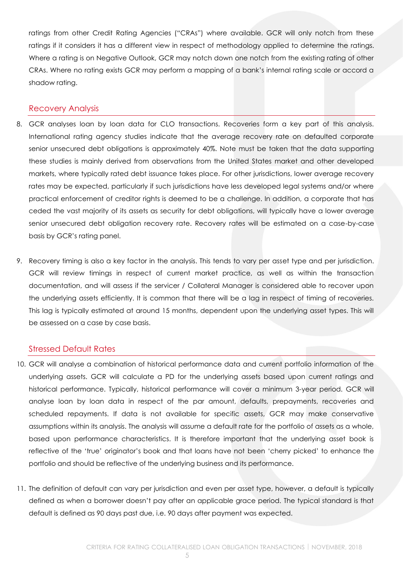ratings from other Credit Rating Agencies ("CRAs") where available. GCR will only notch from these ratings if it considers it has a different view in respect of methodology applied to determine the ratings. Where a rating is on Negative Outlook, GCR may notch down one notch from the existing rating of other CRAs. Where no rating exists GCR may perform a mapping of a bank's internal rating scale or accord a shadow rating.

#### <span id="page-4-0"></span>Recovery Analysis

- 8. GCR analyses loan by loan data for CLO transactions. Recoveries form a key part of this analysis. International rating agency studies indicate that the average recovery rate on defaulted corporate senior unsecured debt obligations is approximately 40%. Note must be taken that the data supporting these studies is mainly derived from observations from the United States market and other developed markets, where typically rated debt issuance takes place. For other jurisdictions, lower average recovery rates may be expected, particularly if such jurisdictions have less developed legal systems and/or where practical enforcement of creditor rights is deemed to be a challenge. In addition, a corporate that has ceded the vast majority of its assets as security for debt obligations, will typically have a lower average senior unsecured debt obligation recovery rate. Recovery rates will be estimated on a case-by-case basis by GCR's rating panel.
- 9. Recovery timing is also a key factor in the analysis. This tends to vary per asset type and per jurisdiction. GCR will review timings in respect of current market practice, as well as within the transaction documentation, and will assess if the servicer / Collateral Manager is considered able to recover upon the underlying assets efficiently. It is common that there will be a lag in respect of timing of recoveries. This lag is typically estimated at around 15 months, dependent upon the underlying asset types. This will be assessed on a case by case basis.

## <span id="page-4-1"></span>Stressed Default Rates

- 10. GCR will analyse a combination of historical performance data and current portfolio information of the underlying assets. GCR will calculate a PD for the underlying assets based upon current ratings and historical performance. Typically, historical performance will cover a minimum 3-year period. GCR will analyse loan by loan data in respect of the par amount, defaults, prepayments, recoveries and scheduled repayments. If data is not available for specific assets, GCR may make conservative assumptions within its analysis. The analysis will assume a default rate for the portfolio of assets as a whole, based upon performance characteristics. It is therefore important that the underlying asset book is reflective of the 'true' originator's book and that loans have not been 'cherry picked' to enhance the portfolio and should be reflective of the underlying business and its performance.
- 11. The definition of default can vary per jurisdiction and even per asset type, however, a default is typically defined as when a borrower doesn't pay after an applicable grace period. The typical standard is that default is defined as 90 days past due, i.e. 90 days after payment was expected.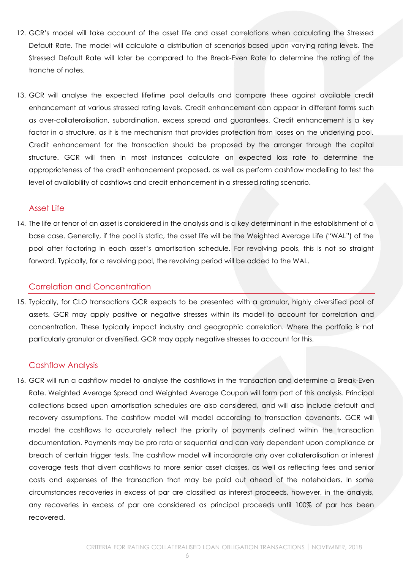- 12. GCR's model will take account of the asset life and asset correlations when calculating the Stressed Default Rate. The model will calculate a distribution of scenarios based upon varying rating levels. The Stressed Default Rate will later be compared to the Break-Even Rate to determine the rating of the tranche of notes.
- 13. GCR will analyse the expected lifetime pool defaults and compare these against available credit enhancement at various stressed rating levels. Credit enhancement can appear in different forms such as over-collateralisation, subordination, excess spread and guarantees. Credit enhancement is a key factor in a structure, as it is the mechanism that provides protection from losses on the underlying pool. Credit enhancement for the transaction should be proposed by the arranger through the capital structure. GCR will then in most instances calculate an expected loss rate to determine the appropriateness of the credit enhancement proposed, as well as perform cashflow modelling to test the level of availability of cashflows and credit enhancement in a stressed rating scenario.

## <span id="page-5-0"></span>Asset Life

14. The life or tenor of an asset is considered in the analysis and is a key determinant in the establishment of a base case. Generally, if the pool is static, the asset life will be the Weighted Average Life ("WAL") of the pool after factoring in each asset's amortisation schedule. For revolving pools, this is not so straight forward. Typically, for a revolving pool, the revolving period will be added to the WAL.

# <span id="page-5-1"></span>Correlation and Concentration

15. Typically, for CLO transactions GCR expects to be presented with a granular, highly diversified pool of assets. GCR may apply positive or negative stresses within its model to account for correlation and concentration. These typically impact industry and geographic correlation. Where the portfolio is not particularly granular or diversified, GCR may apply negative stresses to account for this.

# <span id="page-5-2"></span>Cashflow Analysis

16. GCR will run a cashflow model to analyse the cashflows in the transaction and determine a Break-Even Rate. Weighted Average Spread and Weighted Average Coupon will form part of this analysis. Principal collections based upon amortisation schedules are also considered, and will also include default and recovery assumptions. The cashflow model will model according to transaction covenants. GCR will model the cashflows to accurately reflect the priority of payments defined within the transaction documentation. Payments may be pro rata or sequential and can vary dependent upon compliance or breach of certain trigger tests. The cashflow model will incorporate any over collateralisation or interest coverage tests that divert cashflows to more senior asset classes, as well as reflecting fees and senior costs and expenses of the transaction that may be paid out ahead of the noteholders. In some circumstances recoveries in excess of par are classified as interest proceeds, however, in the analysis, any recoveries in excess of par are considered as principal proceeds until 100% of par has been recovered.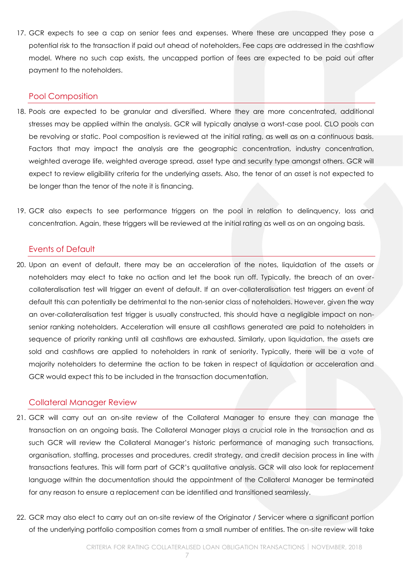17. GCR expects to see a cap on senior fees and expenses. Where these are uncapped they pose a potential risk to the transaction if paid out ahead of noteholders. Fee caps are addressed in the cashflow model. Where no such cap exists, the uncapped portion of fees are expected to be paid out after payment to the noteholders.

#### <span id="page-6-0"></span>Pool Composition

- 18. Pools are expected to be granular and diversified. Where they are more concentrated, additional stresses may be applied within the analysis. GCR will typically analyse a worst-case pool. CLO pools can be revolving or static. Pool composition is reviewed at the initial rating, as well as on a continuous basis. Factors that may impact the analysis are the geographic concentration, industry concentration, weighted average life, weighted average spread, asset type and security type amongst others. GCR will expect to review eligibility criteria for the underlying assets. Also, the tenor of an asset is not expected to be longer than the tenor of the note it is financing.
- 19. GCR also expects to see performance triggers on the pool in relation to delinquency, loss and concentration. Again, these triggers will be reviewed at the initial rating as well as on an ongoing basis.

# <span id="page-6-1"></span>Events of Default

20. Upon an event of default, there may be an acceleration of the notes, liquidation of the assets or noteholders may elect to take no action and let the book run off. Typically, the breach of an overcollateralisation test will trigger an event of default. If an over-collateralisation test triggers an event of default this can potentially be detrimental to the non-senior class of noteholders. However, given the way an over-collateralisation test trigger is usually constructed, this should have a negligible impact on nonsenior ranking noteholders. Acceleration will ensure all cashflows generated are paid to noteholders in sequence of priority ranking until all cashflows are exhausted. Similarly, upon liquidation, the assets are sold and cashflows are applied to noteholders in rank of seniority. Typically, there will be a vote of majority noteholders to determine the action to be taken in respect of liquidation or acceleration and GCR would expect this to be included in the transaction documentation.

# <span id="page-6-2"></span>Collateral Manager Review

- 21. GCR will carry out an on-site review of the Collateral Manager to ensure they can manage the transaction on an ongoing basis. The Collateral Manager plays a crucial role in the transaction and as such GCR will review the Collateral Manager's historic performance of managing such transactions, organisation, staffing, processes and procedures, credit strategy, and credit decision process in line with transactions features. This will form part of GCR's qualitative analysis. GCR will also look for replacement language within the documentation should the appointment of the Collateral Manager be terminated for any reason to ensure a replacement can be identified and transitioned seamlessly.
- 22. GCR may also elect to carry out an on-site review of the Originator / Servicer where a significant portion of the underlying portfolio composition comes from a small number of entities. The on-site review will take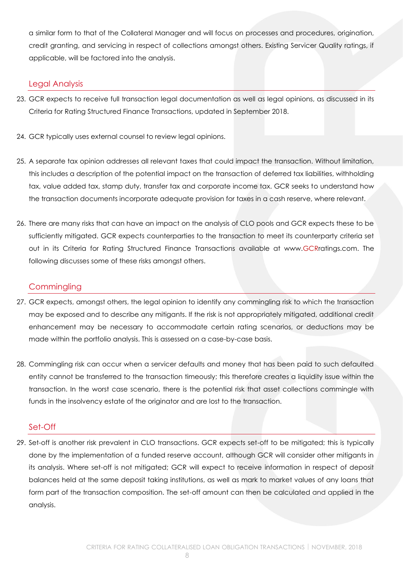a similar form to that of the Collateral Manager and will focus on processes and procedures, origination, credit granting, and servicing in respect of collections amongst others. Existing Servicer Quality ratings, if applicable, will be factored into the analysis.

# <span id="page-7-0"></span>Legal Analysis

- 23. GCR expects to receive full transaction legal documentation as well as legal opinions, as discussed in its Criteria for Rating Structured Finance Transactions, updated in September 2018.
- 24. GCR typically uses external counsel to review legal opinions.
- 25. A separate tax opinion addresses all relevant taxes that could impact the transaction. Without limitation, this includes a description of the potential impact on the transaction of deferred tax liabilities, withholding tax, value added tax, stamp duty, transfer tax and corporate income tax. GCR seeks to understand how the transaction documents incorporate adequate provision for taxes in a cash reserve, where relevant.
- 26. There are many risks that can have an impact on the analysis of CLO pools and GCR expects these to be sufficiently mitigated. GCR expects counterparties to the transaction to meet its counterparty criteria set out in its Criteria for Rating Structured Finance Transactions available at www.GCRratings.com. The following discusses some of these risks amongst others.

# <span id="page-7-1"></span>**Commingling**

- 27. GCR expects, amongst others, the legal opinion to identify any commingling risk to which the transaction may be exposed and to describe any mitigants. If the risk is not appropriately mitigated, additional credit enhancement may be necessary to accommodate certain rating scenarios, or deductions may be made within the portfolio analysis. This is assessed on a case-by-case basis.
- 28. Commingling risk can occur when a servicer defaults and money that has been paid to such defaulted entity cannot be transferred to the transaction timeously; this therefore creates a liquidity issue within the transaction. In the worst case scenario, there is the potential risk that asset collections commingle with funds in the insolvency estate of the originator and are lost to the transaction.

## <span id="page-7-2"></span>Set-Off

29. Set-off is another risk prevalent in CLO transactions. GCR expects set-off to be mitigated; this is typically done by the implementation of a funded reserve account, although GCR will consider other mitigants in its analysis. Where set-off is not mitigated; GCR will expect to receive information in respect of deposit balances held at the same deposit taking institutions, as well as mark to market values of any loans that form part of the transaction composition. The set-off amount can then be calculated and applied in the analysis.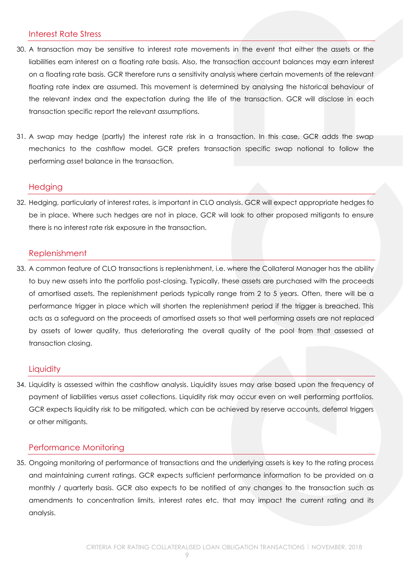# <span id="page-8-0"></span>Interest Rate Stress

- 30. A transaction may be sensitive to interest rate movements in the event that either the assets or the liabilities earn interest on a floating rate basis. Also, the transaction account balances may earn interest on a floating rate basis. GCR therefore runs a sensitivity analysis where certain movements of the relevant floating rate index are assumed. This movement is determined by analysing the historical behaviour of the relevant index and the expectation during the life of the transaction. GCR will disclose in each transaction specific report the relevant assumptions.
- 31. A swap may hedge (partly) the interest rate risk in a transaction. In this case, GCR adds the swap mechanics to the cashflow model. GCR prefers transaction specific swap notional to follow the performing asset balance in the transaction.

## <span id="page-8-1"></span>**Hedging**

32. Hedging, particularly of interest rates, is important in CLO analysis. GCR will expect appropriate hedges to be in place. Where such hedges are not in place, GCR will look to other proposed mitigants to ensure there is no interest rate risk exposure in the transaction.

#### <span id="page-8-2"></span>Replenishment

33. A common feature of CLO transactions is replenishment, i.e. where the Collateral Manager has the ability to buy new assets into the portfolio post-closing. Typically, these assets are purchased with the proceeds of amortised assets. The replenishment periods typically range from 2 to 5 years. Often, there will be a performance trigger in place which will shorten the replenishment period if the trigger is breached. This acts as a safeguard on the proceeds of amortised assets so that well performing assets are not replaced by assets of lower quality, thus deteriorating the overall quality of the pool from that assessed at transaction closing.

## <span id="page-8-3"></span>**Liquidity**

34. Liquidity is assessed within the cashflow analysis. Liquidity issues may arise based upon the frequency of payment of liabilities versus asset collections. Liquidity risk may occur even on well performing portfolios. GCR expects liquidity risk to be mitigated, which can be achieved by reserve accounts, deferral triggers or other mitigants.

## <span id="page-8-4"></span>Performance Monitoring

35. Ongoing monitoring of performance of transactions and the underlying assets is key to the rating process and maintaining current ratings. GCR expects sufficient performance information to be provided on a monthly / quarterly basis. GCR also expects to be notified of any changes to the transaction such as amendments to concentration limits, interest rates etc. that may impact the current rating and its analysis.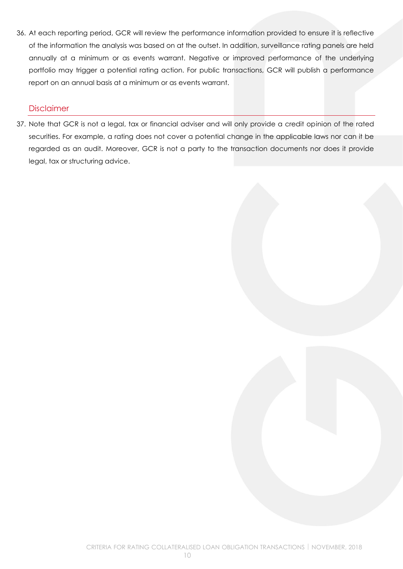36. At each reporting period, GCR will review the performance information provided to ensure it is reflective of the information the analysis was based on at the outset. In addition, surveillance rating panels are held annually at a minimum or as events warrant. Negative or improved performance of the underlying portfolio may trigger a potential rating action. For public transactions, GCR will publish a performance report on an annual basis at a minimum or as events warrant.

## <span id="page-9-0"></span>Disclaimer

37. Note that GCR is not a legal, tax or financial adviser and will only provide a credit opinion of the rated securities. For example, a rating does not cover a potential change in the applicable laws nor can it be regarded as an audit. Moreover, GCR is not a party to the transaction documents nor does it provide legal, tax or structuring advice.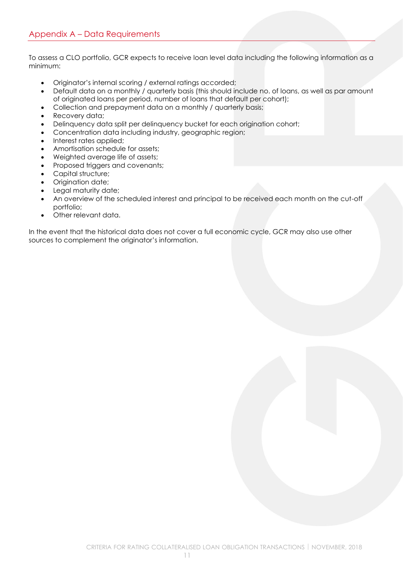<span id="page-10-0"></span>To assess a CLO portfolio, GCR expects to receive loan level data including the following information as a minimum:

- Originator's internal scoring / external ratings accorded;
- Default data on a monthly / quarterly basis (this should include no. of loans, as well as par amount of originated loans per period, number of loans that default per cohort);
- Collection and prepayment data on a monthly / quarterly basis;
- Recovery data;
- Delinquency data split per delinquency bucket for each origination cohort;
- Concentration data including industry, geographic region;
- Interest rates applied;
- Amortisation schedule for assets;
- Weighted average life of assets;
- Proposed triggers and covenants;
- Capital structure;
- Origination date;
- Legal maturity date;
- An overview of the scheduled interest and principal to be received each month on the cut-off portfolio;
- Other relevant data.

In the event that the historical data does not cover a full economic cycle, GCR may also use other sources to complement the originator's information.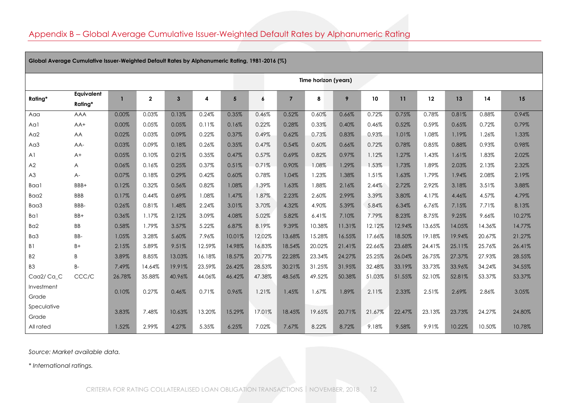# Appendix B – Global Average Cumulative Issuer-Weighted Default Rates by Alphanumeric Rating

<span id="page-11-0"></span>

| Global Average Cumulative Issuer-Weighted Default Rates by Alphanumeric Rating, 1981-2016 (%) |                              |        |              |              |        |                 |                  |                |        |        |                 |        |        |        |        |        |
|-----------------------------------------------------------------------------------------------|------------------------------|--------|--------------|--------------|--------|-----------------|------------------|----------------|--------|--------|-----------------|--------|--------|--------|--------|--------|
|                                                                                               | Time horizon (years)         |        |              |              |        |                 |                  |                |        |        |                 |        |        |        |        |        |
| Rating*                                                                                       | <b>Eauivalent</b><br>Rating* |        | $\mathbf{2}$ | $\mathbf{3}$ | 4      | $5\phantom{.0}$ | $\boldsymbol{6}$ | $\overline{7}$ | 8      | 9      | 10 <sup>°</sup> | 11     | 12     | 13     | 14     | 15     |
| Aaa                                                                                           | <b>AAA</b>                   | 0.00%  | 0.03%        | 0.13%        | 0.24%  | 0.35%           | 0.46%            | 0.52%          | 0.60%  | 0.66%  | 0.72%           | 0.75%  | 0.78%  | 0.81%  | 0.88%  | 0.94%  |
| Aal                                                                                           | AA+                          | 0.00%  | 0.05%        | 0.05%        | 0.11%  | 0.16%           | 0.22%            | 0.28%          | 0.33%  | 0.40%  | 0.46%           | 0.52%  | 0.59%  | 0.65%  | 0.72%  | 0.79%  |
| A <sub>0</sub> 2                                                                              | AA                           | 0.02%  | 0.03%        | 0.09%        | 0.22%  | 0.37%           | 0.49%            | 0.62%          | 0.73%  | 0.83%  | 0.93%           | 1.01%  | 1.08%  | 1.19%  | 1.26%  | 1.33%  |
| A <sub>d</sub>                                                                                | AA-                          | 0.03%  | 0.09%        | 0.18%        | 0.26%  | 0.35%           | 0.47%            | 0.54%          | 0.60%  | 0.66%  | 0.72%           | 0.78%  | 0.85%  | 0.88%  | 0.93%  | 0.98%  |
| A <sub>1</sub>                                                                                | $A+$                         | 0.05%  | 0.10%        | 0.21%        | 0.35%  | 0.47%           | 0.57%            | 0.69%          | 0.82%  | 0.97%  | 1.12%           | 1.27%  | 1.43%  | 1.61%  | 1.83%  | 2.02%  |
| A2                                                                                            | A                            | 0.06%  | 0.16%        | 0.25%        | 0.37%  | 0.51%           | 0.71%            | 0.90%          | 1.08%  | 1.29%  | 1.53%           | 1.73%  | 1.89%  | 2.03%  | 2.13%  | 2.32%  |
| A3                                                                                            | $A-$                         | 0.07%  | 0.18%        | 0.29%        | 0.42%  | 0.60%           | 0.78%            | 1.04%          | 1.23%  | 1.38%  | 1.51%           | 1.63%  | 1.79%  | 1.94%  | 2.08%  | 2.19%  |
| Baa1                                                                                          | BBB+                         | 0.12%  | 0.32%        | 0.56%        | 0.82%  | 1.08%           | 1.39%            | 1.63%          | 1.88%  | 2.16%  | 2.44%           | 2.72%  | 2.92%  | 3.18%  | 3.51%  | 3.88%  |
| Baa2                                                                                          | <b>BBB</b>                   | 0.17%  | 0.44%        | 0.69%        | 1.08%  | 1.47%           | 1.87%            | 2.23%          | 2.60%  | 2.99%  | 3.39%           | 3.80%  | 4.17%  | 4.46%  | 4.57%  | 4.79%  |
| Baa3                                                                                          | BBB-                         | 0.26%  | 0.81%        | 1.48%        | 2.24%  | 3.01%           | 3.70%            | 4.32%          | 4.90%  | 5.39%  | 5.84%           | 6.34%  | 6.76%  | 7.15%  | 7.71%  | 8.13%  |
| Bal                                                                                           | BB+                          | 0.36%  | 1.17%        | 2.12%        | 3.09%  | 4.08%           | 5.02%            | 5.82%          | 6.41%  | 7.10%  | 7.79%           | 8.23%  | 8.75%  | 9.25%  | 9.66%  | 10.27% |
| Ba <sub>2</sub>                                                                               | <b>BB</b>                    | 0.58%  | 1.79%        | 3.57%        | 5.22%  | 6.87%           | 8.19%            | 9.39%          | 10.38% | 11.31% | 12.12%          | 12.94% | 13.65% | 14.05% | 14.36% | 14.77% |
| Ba3                                                                                           | BB-                          | 1.05%  | 3.28%        | 5.60%        | 7.96%  | 10.01%          | 12.02%           | 13.68%         | 15.28% | 16.55% | 17.66%          | 18.50% | 19.18% | 19.94% | 20.67% | 21.27% |
| B1                                                                                            | $B+$                         | 2.15%  | 5.89%        | 9.51%        | 12.59% | 14.98%          | 16.83%           | 18.54%         | 20.02% | 21.41% | 22.66%          | 23.68% | 24.41% | 25.11% | 25.76% | 26.41% |
| <b>B2</b>                                                                                     | B                            | 3.89%  | 8.85%        | 13.03%       | 16.18% | 18.57%          | 20.77%           | 22.28%         | 23.34% | 24.27% | 25.25%          | 26.04% | 26.75% | 27.37% | 27.93% | 28.55% |
| B <sub>3</sub>                                                                                | $B -$                        | 7.49%  | 14.64%       | 19.91%       | 23.59% | 26.42%          | 28.53%           | 30.21%         | 31.25% | 31.95% | 32.48%          | 33.19% | 33.73% | 33.96% | 34.24% | 34.55% |
| Caa2/Ca_C                                                                                     | CCC/C                        | 26.78% | 35.88%       | 40.96%       | 44.06% | 46.42%          | 47.38%           | 48.56%         | 49.52% | 50.38% | 51.03%          | 51.55% | 52.10% | 52.81% | 53.37% | 53.37% |
| Investment<br>Grade                                                                           |                              | 0.10%  | 0.27%        | 0.46%        | 0.71%  | 0.96%           | 1.21%            | 1.45%          | 1.67%  | 1.89%  | 2.11%           | 2.33%  | 2.51%  | 2.69%  | 2.86%  | 3.05%  |
| Speculative<br>Grade                                                                          |                              | 3.83%  | 7.48%        | 10.63%       | 13.20% | 15.29%          | 17.01%           | 18.45%         | 19.65% | 20.71% | 21.67%          | 22.47% | 23.13% | 23.73% | 24.27% | 24.80% |
| All rated                                                                                     |                              | 1.52%  | 2.99%        | 4.27%        | 5.35%  | 6.25%           | 7.02%            | 7.67%          | 8.22%  | 8.72%  | 9.18%           | 9.58%  | 9.91%  | 10.22% | 10.50% | 10.78% |

*Source: Market available data.*

*\* International ratings.*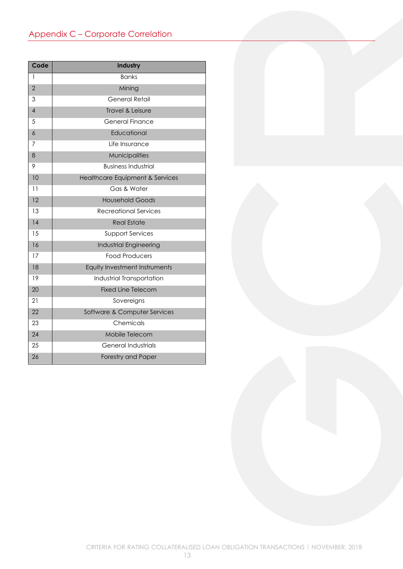# <span id="page-12-0"></span>Appendix C – Corporate Correlation

| Code           | Industry                        |
|----------------|---------------------------------|
| 1              | <b>Banks</b>                    |
| $\overline{2}$ | Mining                          |
| 3              | <b>General Retail</b>           |
| $\overline{4}$ | <b>Travel &amp; Leisure</b>     |
| 5              | <b>General Finance</b>          |
| 6              | Educational                     |
| 7              | Life Insurance                  |
| 8              | Municipalities                  |
| 9              | <b>Business Industrial</b>      |
| 10             | Healthcare Equipment & Services |
| 11             | Gas & Water                     |
| 12             | <b>Household Goods</b>          |
| 13             | Recreational Services           |
| 14             | <b>Real Estate</b>              |
| 1.5            | <b>Support Services</b>         |
| 16             | Industrial Engineering          |
| 17             | <b>Food Producers</b>           |
| 18             | Equity Investment Instruments   |
| 19             | Industrial Transportation       |
| 20             | <b>Fixed Line Telecom</b>       |
| 21             | Sovereigns                      |
| 22             | Software & Computer Services    |
| 23             | Chemicals                       |
| 24             | Mobile Telecom                  |
| 25             | <b>General Industrials</b>      |
| 26             | Forestry and Paper              |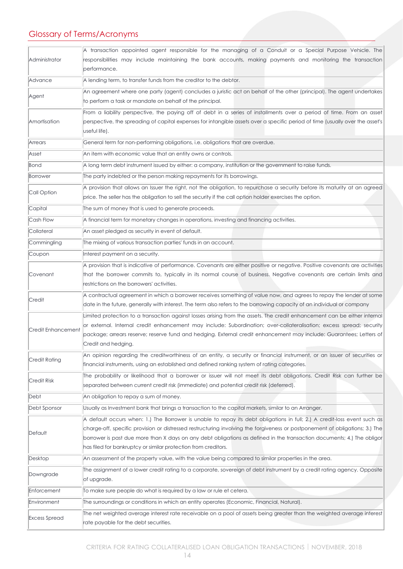# <span id="page-13-0"></span>Glossary of Terms/Acronyms

|                      | A transaction appointed agent responsible for the managing of a Conduit or a Special Purpose Vehicle. The                                                                                                                                      |  |  |  |  |  |  |
|----------------------|------------------------------------------------------------------------------------------------------------------------------------------------------------------------------------------------------------------------------------------------|--|--|--|--|--|--|
| Administrator        | responsibilities may include maintaining the bank accounts, making payments and monitoring the transaction<br>performance.                                                                                                                     |  |  |  |  |  |  |
| Advance              | A lending term, to transfer funds from the creditor to the debtor.                                                                                                                                                                             |  |  |  |  |  |  |
|                      | An agreement where one party (agent) concludes a juristic act on behalf of the other (principal). The agent undertakes                                                                                                                         |  |  |  |  |  |  |
| Agent                | to perform a task or mandate on behalf of the principal.                                                                                                                                                                                       |  |  |  |  |  |  |
|                      | From a liability perspective, the paying off of debt in a series of installments over a period of time. From an asset                                                                                                                          |  |  |  |  |  |  |
| Amortisation         | perspective, the spreading of capital expenses for intangible assets over a specific period of time (usually over the asset's                                                                                                                  |  |  |  |  |  |  |
|                      | useful life).                                                                                                                                                                                                                                  |  |  |  |  |  |  |
| Arrears              | General term for non-performing obligations, i.e. obligations that are overdue.                                                                                                                                                                |  |  |  |  |  |  |
| Asset                | An item with economic value that an entity owns or controls.                                                                                                                                                                                   |  |  |  |  |  |  |
| <b>Bond</b>          | A long term debt instrument issued by either: a company, institution or the government to raise funds.                                                                                                                                         |  |  |  |  |  |  |
| <b>Borrower</b>      | The party indebted or the person making repayments for its borrowings.                                                                                                                                                                         |  |  |  |  |  |  |
| Call Option          | A provision that allows an Issuer the right, not the obligation, to repurchase a security before its maturity at an agreed                                                                                                                     |  |  |  |  |  |  |
|                      | price. The seller has the obligation to sell the security if the call option holder exercises the option.                                                                                                                                      |  |  |  |  |  |  |
| Capital              | The sum of money that is used to generate proceeds.                                                                                                                                                                                            |  |  |  |  |  |  |
| Cash Flow            | A financial term for monetary changes in operations, investing and financing activities.                                                                                                                                                       |  |  |  |  |  |  |
| Collateral           | An asset pledged as security in event of default.                                                                                                                                                                                              |  |  |  |  |  |  |
| Commingling          | The mixing of various transaction parties' funds in an account.                                                                                                                                                                                |  |  |  |  |  |  |
| Coupon               | Interest payment on a security.                                                                                                                                                                                                                |  |  |  |  |  |  |
|                      | A provision that is indicative of performance. Covenants are either positive or negative. Positive covenants are activities                                                                                                                    |  |  |  |  |  |  |
| Covenant             | that the borrower commits to, typically in its normal course of business. Negative covenants are certain limits and                                                                                                                            |  |  |  |  |  |  |
|                      | restrictions on the borrowers' activities.                                                                                                                                                                                                     |  |  |  |  |  |  |
| Credit               | A contractual agreement in which a borrower receives something of value now, and agrees to repay the lender at some<br>date in the future, generally with interest. The term also refers to the borrowing capacity of an individual or company |  |  |  |  |  |  |
|                      | Limited protection to a transaction against losses arising from the assets. The credit enhancement can be either internal                                                                                                                      |  |  |  |  |  |  |
| Credit Enhancement   | or external. Internal credit enhancement may include: Subordination; over-collateralisation; excess spread; security                                                                                                                           |  |  |  |  |  |  |
|                      | package; arrears reserve; reserve fund and hedging. External credit enhancement may include: Guarantees; Letters of<br>Credit and hedging.                                                                                                     |  |  |  |  |  |  |
|                      | An opinion regarding the creditworthiness of an entity, a security or financial instrument, or an issuer of securities or                                                                                                                      |  |  |  |  |  |  |
| <b>Credit Rating</b> | financial instruments, using an established and defined ranking system of rating categories.                                                                                                                                                   |  |  |  |  |  |  |
| <b>Credit Risk</b>   | The probability or likelihood that a borrower or issuer will not meet its debt obligations. Credit Risk can further be<br>separated between current credit risk (immediate) and potential credit risk (deferred).                              |  |  |  |  |  |  |
| Debt                 | An obligation to repay a sum of money.                                                                                                                                                                                                         |  |  |  |  |  |  |
| Debt Sponsor         | Usually as Investment bank that brings a transaction to the capital markets, similar to an Arranger.                                                                                                                                           |  |  |  |  |  |  |
|                      | A default occurs when: 1.) The Borrower is unable to repay its debt obligations in full; 2.) A credit-loss event such as                                                                                                                       |  |  |  |  |  |  |
| Default              | charge-off, specific provision or distressed restructuring involving the forgiveness or postponement of obligations; 3.) The                                                                                                                   |  |  |  |  |  |  |
|                      | borrower is past due more than X days on any debt obligations as defined in the transaction documents; 4.) The obligor                                                                                                                         |  |  |  |  |  |  |
|                      | has filed for bankruptcy or similar protection from creditors.                                                                                                                                                                                 |  |  |  |  |  |  |
| Desktop              | An assessment of the property value, with the value being compared to similar properties in the area.                                                                                                                                          |  |  |  |  |  |  |
| Downgrade            | The assignment of a lower credit rating to a corporate, sovereign of debt instrument by a credit rating agency. Opposite<br>of upgrade.                                                                                                        |  |  |  |  |  |  |
| Enforcement          | To make sure people do what is required by a law or rule et cetera.                                                                                                                                                                            |  |  |  |  |  |  |
| Environment          | The surroundings or conditions in which an entity operates (Economic, Financial, Natural).                                                                                                                                                     |  |  |  |  |  |  |
|                      | The net weighted average interest rate receivable on a pool of assets being greater than the weighted average interest                                                                                                                         |  |  |  |  |  |  |
| <b>Excess Spread</b> | rate payable for the debt securities.                                                                                                                                                                                                          |  |  |  |  |  |  |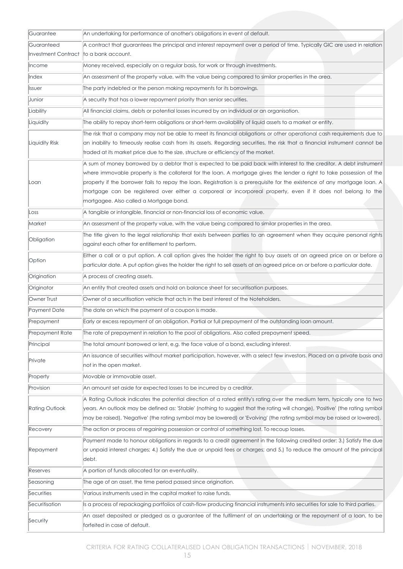| Guarantee             | An undertaking for performance of another's obligations in event of default.                                                                                                                                                                                                                                                                                                                                                                                                                                                              |
|-----------------------|-------------------------------------------------------------------------------------------------------------------------------------------------------------------------------------------------------------------------------------------------------------------------------------------------------------------------------------------------------------------------------------------------------------------------------------------------------------------------------------------------------------------------------------------|
| Guaranteed            | A contract that guarantees the principal and interest repayment over a period of time. Typically GIC are used in relation                                                                                                                                                                                                                                                                                                                                                                                                                 |
| Investment Contract   | to a bank account.                                                                                                                                                                                                                                                                                                                                                                                                                                                                                                                        |
| Income                | Money received, especially on a regular basis, for work or through investments.                                                                                                                                                                                                                                                                                                                                                                                                                                                           |
| Index                 | An assessment of the property value, with the value being compared to similar properties in the area.                                                                                                                                                                                                                                                                                                                                                                                                                                     |
| <b>Issuer</b>         | The party indebted or the person making repayments for its borrowings.                                                                                                                                                                                                                                                                                                                                                                                                                                                                    |
| Junior                | A security that has a lower repayment priority than senior securities.                                                                                                                                                                                                                                                                                                                                                                                                                                                                    |
| Liability             | All financial claims, debts or potential losses incurred by an individual or an organisation.                                                                                                                                                                                                                                                                                                                                                                                                                                             |
| Liquidity             | The ability to repay short-term obligations or short-term availability of liquid assets to a market or entity.                                                                                                                                                                                                                                                                                                                                                                                                                            |
| Liquidity Risk        | The risk that a company may not be able to meet its financial obligations or other operational cash requirements due to<br>an inability to timeously realise cash from its assets. Regarding securities, the risk that a financial instrument cannot be<br>traded at its market price due to the size, structure or efficiency of the market.                                                                                                                                                                                             |
| Loan                  | A sum of money borrowed by a debtor that is expected to be paid back with interest to the creditor. A debt instrument<br>where immovable property is the collateral for the loan. A mortgage gives the lender a right to take possession of the<br>property if the borrower fails to repay the loan. Registration is a prerequisite for the existence of any mortgage loan. A<br>mortgage can be registered over either a corporeal or incorporeal property, even if it does not belong to the<br>mortgagee. Also called a Mortgage bond. |
| Loss                  | A tangible or intangible, financial or non-financial loss of economic value.                                                                                                                                                                                                                                                                                                                                                                                                                                                              |
| Market                | An assessment of the property value, with the value being compared to similar properties in the area.                                                                                                                                                                                                                                                                                                                                                                                                                                     |
| Obligation            | The title given to the legal relationship that exists between parties to an agreement when they acquire personal rights<br>against each other for entitlement to perform.                                                                                                                                                                                                                                                                                                                                                                 |
| Option                | Either a call or a put option. A call option gives the holder the right to buy assets at an agreed price on or before a<br>particular date. A put option gives the holder the right to sell assets at an agreed price on or before a particular date.                                                                                                                                                                                                                                                                                     |
| Origination           | A process of creating assets.                                                                                                                                                                                                                                                                                                                                                                                                                                                                                                             |
| Originator            | An entity that created assets and hold on balance sheet for securitisation purposes.                                                                                                                                                                                                                                                                                                                                                                                                                                                      |
| Owner Trust           | Owner of a securitisation vehicle that acts in the best interest of the Noteholders.                                                                                                                                                                                                                                                                                                                                                                                                                                                      |
| Payment Date          | The date on which the payment of a coupon is made.                                                                                                                                                                                                                                                                                                                                                                                                                                                                                        |
| Prepayment            | Early or excess repayment of an obligation. Partial or full prepayment of the outstanding loan amount.                                                                                                                                                                                                                                                                                                                                                                                                                                    |
| Prepayment Rate       | The rate of prepayment in relation to the pool of obligations. Also called prepayment speed.                                                                                                                                                                                                                                                                                                                                                                                                                                              |
| Principal             | The total amount borrowed or lent, e.g. the face value of a bond, excluding interest.                                                                                                                                                                                                                                                                                                                                                                                                                                                     |
| Private               | An issuance of securities without market participation, however, with a select few investors. Placed on a private basis and<br>not in the open market.                                                                                                                                                                                                                                                                                                                                                                                    |
| Property              | Movable or immovable asset.                                                                                                                                                                                                                                                                                                                                                                                                                                                                                                               |
| Provision             | An amount set aside for expected losses to be incurred by a creditor.                                                                                                                                                                                                                                                                                                                                                                                                                                                                     |
| <b>Rating Outlook</b> | A Rating Outlook indicates the potential direction of a rated entity's rating over the medium term, typically one to two<br>years. An outlook may be defined as: 'Stable' (nothing to suggest that the rating will change), 'Positive' (the rating symbol<br>may be raised), 'Negative' (the rating symbol may be lowered) or 'Evolving' (the rating symbol may be raised or lowered).                                                                                                                                                    |
| Recovery              | The action or process of regaining possession or control of something lost. To recoup losses.                                                                                                                                                                                                                                                                                                                                                                                                                                             |
| Repayment             | Payment made to honour obligations in regards to a credit agreement in the following credited order: 3.) Satisfy the due<br>or unpaid interest charges; 4.) Satisfy the due or unpaid fees or charges; and 5.) To reduce the amount of the principal<br>debt.                                                                                                                                                                                                                                                                             |
| Reserves              | A portion of funds allocated for an eventuality.                                                                                                                                                                                                                                                                                                                                                                                                                                                                                          |
| Seasoning             | The age of an asset, the time period passed since origination.                                                                                                                                                                                                                                                                                                                                                                                                                                                                            |
| Securities            | Various instruments used in the capital market to raise funds.                                                                                                                                                                                                                                                                                                                                                                                                                                                                            |
| Securitisation        | Is a process of repackaging portfolios of cash-flow producing financial instruments into securities for sale to third parties.                                                                                                                                                                                                                                                                                                                                                                                                            |
| Security              | An asset deposited or pledged as a guarantee of the fulfilment of an undertaking or the repayment of a loan, to be<br>forfeited in case of default.                                                                                                                                                                                                                                                                                                                                                                                       |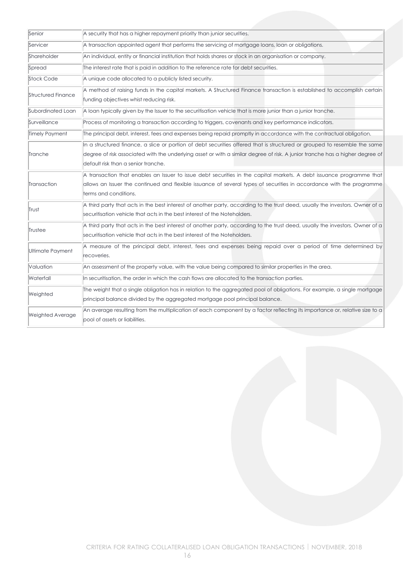| Senior                    | A security that has a higher repayment priority than junior securities.                                                                                                                                                                                                                           |
|---------------------------|---------------------------------------------------------------------------------------------------------------------------------------------------------------------------------------------------------------------------------------------------------------------------------------------------|
| Servicer                  | A transaction appointed agent that performs the servicing of mortgage loans, loan or obligations.                                                                                                                                                                                                 |
| Shareholder               | An individual, entity or financial institution that holds shares or stock in an organisation or company.                                                                                                                                                                                          |
| Spread                    | The interest rate that is paid in addition to the reference rate for debt securities.                                                                                                                                                                                                             |
| Stock Code                | A unique code allocated to a publicly listed security.                                                                                                                                                                                                                                            |
| <b>Structured Finance</b> | A method of raising funds in the capital markets. A Structured Finance transaction is established to accomplish certain<br>funding objectives whist reducing risk.                                                                                                                                |
| Subordinated Loan         | A loan typically given by the Issuer to the securitisation vehicle that is more junior than a junior tranche.                                                                                                                                                                                     |
| Surveillance              | Process of monitoring a transaction according to triggers, covenants and key performance indicators.                                                                                                                                                                                              |
| Timely Payment            | The principal debt, interest, fees and expenses being repaid promptly in accordance with the contractual obligation.                                                                                                                                                                              |
| Tranche                   | In a structured finance, a slice or portion of debt securities offered that is structured or grouped to resemble the same<br>degree of risk associated with the underlying asset or with a similar degree of risk. A junior tranche has a higher degree of<br>default risk than a senior tranche. |
| Transaction               | A transaction that enables an Issuer to issue debt securities in the capital markets. A debt issuance programme that<br>allows an Issuer the continued and flexible issuance of several types of securities in accordance with the programme<br>terms and conditions.                             |
| Trust                     | A third party that acts in the best interest of another party, according to the trust deed, usually the investors. Owner of a<br>securitisation vehicle that acts in the best interest of the Noteholders.                                                                                        |
| Trustee                   | A third party that acts in the best interest of another party, according to the trust deed, usually the investors. Owner of a<br>securitisation vehicle that acts in the best interest of the Noteholders.                                                                                        |
| Ultimate Payment          | A measure of the principal debt, interest, fees and expenses being repaid over a period of time determined by<br>recoveries.                                                                                                                                                                      |
| Valuation                 | An assessment of the property value, with the value being compared to similar properties in the area.                                                                                                                                                                                             |
| Waterfall                 | In securitisation, the order in which the cash flows are allocated to the transaction parties.                                                                                                                                                                                                    |
| Weighted                  | The weight that a single obligation has in relation to the aggregated pool of obligations. For example, a single mortgage<br>principal balance divided by the aggregated mortgage pool principal balance.                                                                                         |
| <b>Weighted Average</b>   | An average resulting from the multiplication of each component by a factor reflecting its importance or, relative size to a<br>pool of assets or liabilities.                                                                                                                                     |